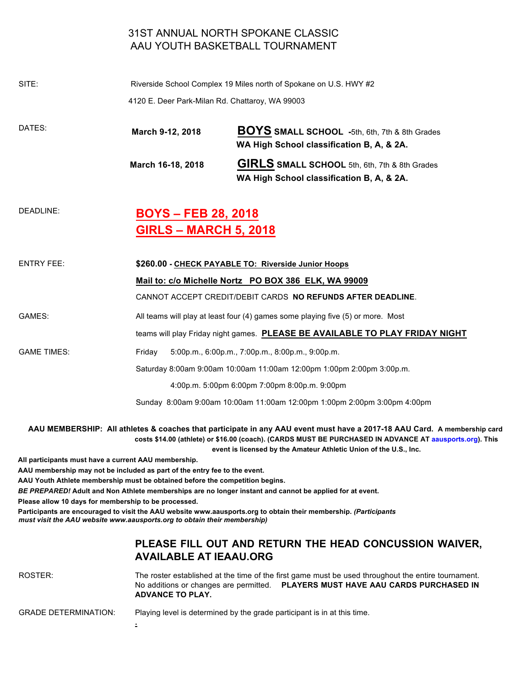## 31ST ANNUAL NORTH SPOKANE CLASSIC AAU YOUTH BASKETBALL TOURNAMENT

| SITE:              | 4120 E. Deer Park-Milan Rd. Chattaroy, WA 99003            | Riverside School Complex 19 Miles north of Spokane on U.S. HWY #2                                                                                                                                                                                      |  |
|--------------------|------------------------------------------------------------|--------------------------------------------------------------------------------------------------------------------------------------------------------------------------------------------------------------------------------------------------------|--|
| DATES:             | March 9-12, 2018                                           | <b>BOYS SMALL SCHOOL</b> -5th, 6th, 7th & 8th Grades<br>WA High School classification B, A, & 2A.                                                                                                                                                      |  |
|                    | March 16-18, 2018                                          | GIRLS SMALL SCHOOL 5th, 6th, 7th & 8th Grades<br>WA High School classification B, A, & 2A.                                                                                                                                                             |  |
| DEADLINE:          | <b>BOYS – FEB 28, 2018</b><br><b>GIRLS - MARCH 5, 2018</b> |                                                                                                                                                                                                                                                        |  |
| <b>ENTRY FEE:</b>  |                                                            | \$260.00 - CHECK PAYABLE TO: Riverside Junior Hoops<br>Mail to: c/o Michelle Nortz PO BOX 386 ELK, WA 99009                                                                                                                                            |  |
| GAMES:             |                                                            | All teams will play at least four (4) games some playing five (5) or more. Most<br>teams will play Friday night games. PLEASE BE AVAILABLE TO PLAY FRIDAY NIGHT                                                                                        |  |
| <b>GAME TIMES:</b> | Friday                                                     | 5:00p.m., 6:00p.m., 7:00p.m., 8:00p.m., 9:00p.m.<br>Saturday 8:00am 9:00am 10:00am 11:00am 12:00pm 1:00pm 2:00pm 3:00p.m.<br>4:00p.m. 5:00pm 6:00pm 7:00pm 8:00p.m. 9:00pm<br>Sunday 8:00am 9:00am 10:00am 11:00am 12:00pm 1:00pm 2:00pm 3:00pm 4:00pm |  |
|                    |                                                            | CANNOT ACCEPT CREDIT/DEBIT CARDS NO REFUNDS AFTER DEADLINE.                                                                                                                                                                                            |  |

**AAU MEMBERSHIP: All athletes & coaches that participate in any AAU event must have a 2017-18 AAU Card. A membership card costs \$14.00 (athlete) or \$16.00 (coach). (CARDS MUST BE PURCHASED IN ADVANCE AT aausports.org). This event is licensed by the Amateur Athletic Union of the U.S., Inc.** 

**All participants must have a current AAU membership.** 

**AAU membership may not be included as part of the entry fee to the event.** 

**.** 

**AAU Youth Athlete membership must be obtained before the competition begins.** 

*BE PREPARED!* **Adult and Non Athlete memberships are no longer instant and cannot be applied for at event.** 

**Please allow 10 days for membership to be processed.** 

Participants are encouraged to visit the AAU website www.aausports.org to obtain their membership. (Participants *must visit the AAU website www.aausports.org to obtain their membership)* 

## **PLEASE FILL OUT AND RETURN THE HEAD CONCUSSION WAIVER, AVAILABLE AT IEAAU.ORG**

ROSTER: The roster established at the time of the first game must be used throughout the entire tournament. No additions or changes are permitted. **PLAYERS MUST HAVE AAU CARDS PURCHASED IN ADVANCE TO PLAY.**

GRADE DETERMINATION: Playing level is determined by the grade participant is in at this time.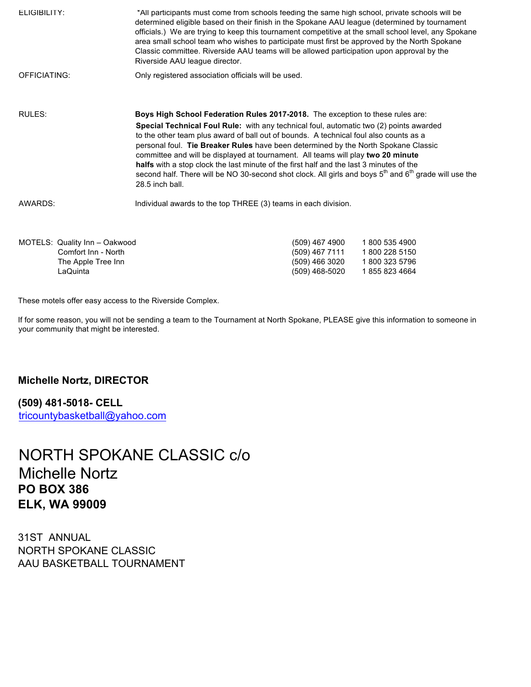| ELIGIBILITY: | *All participants must come from schools feeding the same high school, private schools will be<br>determined eligible based on their finish in the Spokane AAU league (determined by tournament<br>officials.) We are trying to keep this tournament competitive at the small school level, any Spokane<br>area small school team who wishes to participate must first be approved by the North Spokane<br>Classic committee. Riverside AAU teams will be allowed participation upon approval by the<br>Riverside AAU league director.                                                                   |
|--------------|----------------------------------------------------------------------------------------------------------------------------------------------------------------------------------------------------------------------------------------------------------------------------------------------------------------------------------------------------------------------------------------------------------------------------------------------------------------------------------------------------------------------------------------------------------------------------------------------------------|
| OFFICIATING: | Only registered association officials will be used.                                                                                                                                                                                                                                                                                                                                                                                                                                                                                                                                                      |
| RULES:       | Boys High School Federation Rules 2017-2018. The exception to these rules are:                                                                                                                                                                                                                                                                                                                                                                                                                                                                                                                           |
|              | Special Technical Foul Rule: with any technical foul, automatic two (2) points awarded<br>to the other team plus award of ball out of bounds. A technical foul also counts as a<br>personal foul. Tie Breaker Rules have been determined by the North Spokane Classic<br>committee and will be displayed at tournament. All teams will play two 20 minute<br>halfs with a stop clock the last minute of the first half and the last 3 minutes of the<br>second half. There will be NO 30-second shot clock. All girls and boys 5 <sup>th</sup> and 6 <sup>th</sup> grade will use the<br>28.5 inch ball. |
| AWARDS:      | Individual awards to the top THREE (3) teams in each division.                                                                                                                                                                                                                                                                                                                                                                                                                                                                                                                                           |
|              |                                                                                                                                                                                                                                                                                                                                                                                                                                                                                                                                                                                                          |

| (509) 467 4900 | 1800 535 4900  |
|----------------|----------------|
| (509) 467 7111 | 1 800 228 5150 |
| (509) 466 3020 | 1 800 323 5796 |
| (509) 468-5020 | 18558234664    |
|                |                |

These motels offer easy access to the Riverside Complex.

If for some reason, you will not be sending a team to the Tournament at North Spokane, PLEASE give this information to someone in your community that might be interested.

## **Michelle Nortz, DIRECTOR**

**(509) 481-5018- CELL**  tricountybasketball@yahoo.com

## NORTH SPOKANE CLASSIC c/o Michelle Nortz **PO BOX 386 ELK, WA 99009**

31ST ANNUAL NORTH SPOKANE CLASSIC AAU BASKETBALL TOURNAMENT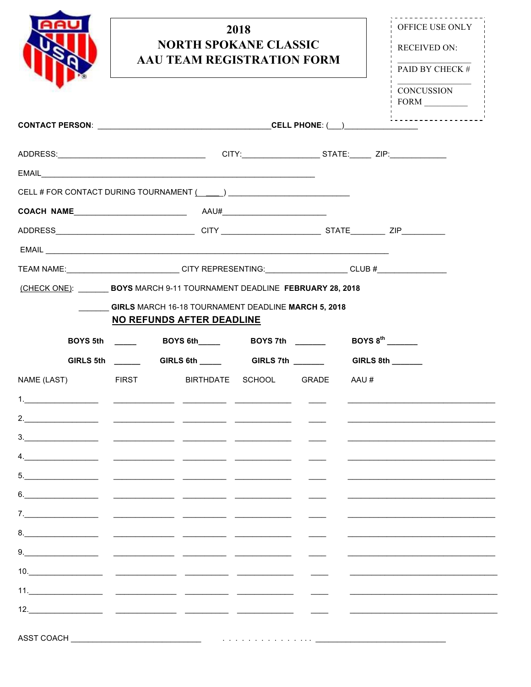|                                                                                                     |                                                                                         | <b>NORTH SPOKANE CLASSIC</b><br>AAU TEAM REGISTRATION FORM | 2018                        |                                                                                                                                                                                                                                      | OFFICE USE ONLY<br><b>RECEIVED ON:</b><br>PAID BY CHECK # |
|-----------------------------------------------------------------------------------------------------|-----------------------------------------------------------------------------------------|------------------------------------------------------------|-----------------------------|--------------------------------------------------------------------------------------------------------------------------------------------------------------------------------------------------------------------------------------|-----------------------------------------------------------|
|                                                                                                     |                                                                                         |                                                            |                             |                                                                                                                                                                                                                                      | <b>CONCUSSION</b><br><u>!</u>                             |
|                                                                                                     |                                                                                         |                                                            |                             |                                                                                                                                                                                                                                      |                                                           |
|                                                                                                     |                                                                                         |                                                            |                             |                                                                                                                                                                                                                                      |                                                           |
|                                                                                                     |                                                                                         |                                                            |                             |                                                                                                                                                                                                                                      |                                                           |
|                                                                                                     |                                                                                         |                                                            |                             |                                                                                                                                                                                                                                      |                                                           |
|                                                                                                     |                                                                                         |                                                            |                             |                                                                                                                                                                                                                                      |                                                           |
|                                                                                                     |                                                                                         |                                                            |                             |                                                                                                                                                                                                                                      |                                                           |
|                                                                                                     |                                                                                         |                                                            |                             |                                                                                                                                                                                                                                      |                                                           |
| TEAM NAME:____________________________CITY REPRESENTING:__________________CLUB #___________________ |                                                                                         |                                                            |                             |                                                                                                                                                                                                                                      |                                                           |
| (CHECK ONE): BOYS MARCH 9-11 TOURNAMENT DEADLINE FEBRUARY 28, 2018                                  | GIRLS MARCH 16-18 TOURNAMENT DEADLINE MARCH 5, 2018<br><b>NO REFUNDS AFTER DEADLINE</b> |                                                            |                             |                                                                                                                                                                                                                                      |                                                           |
|                                                                                                     | GIRLS 5th _____________GIRLS 6th ____________GIRLS 7th ________                         |                                                            |                             |                                                                                                                                                                                                                                      | GIRLS 8th                                                 |
| NAME (LAST)                                                                                         | <b>EIRST</b>                                                                            |                                                            | BIRTHDATE SCHOOL GRADE AAU# |                                                                                                                                                                                                                                      |                                                           |
|                                                                                                     |                                                                                         |                                                            |                             |                                                                                                                                                                                                                                      |                                                           |
|                                                                                                     |                                                                                         |                                                            |                             |                                                                                                                                                                                                                                      |                                                           |
|                                                                                                     |                                                                                         |                                                            |                             |                                                                                                                                                                                                                                      |                                                           |
|                                                                                                     |                                                                                         |                                                            |                             |                                                                                                                                                                                                                                      |                                                           |
|                                                                                                     |                                                                                         |                                                            |                             |                                                                                                                                                                                                                                      |                                                           |
|                                                                                                     |                                                                                         |                                                            |                             |                                                                                                                                                                                                                                      |                                                           |
|                                                                                                     |                                                                                         |                                                            |                             | <u>and the second part of the second part of the second part of the second part of the second part of the second part of the second part of the second part of the second part of the second part of the second part of the seco</u> |                                                           |
|                                                                                                     |                                                                                         |                                                            |                             |                                                                                                                                                                                                                                      |                                                           |
|                                                                                                     |                                                                                         |                                                            |                             |                                                                                                                                                                                                                                      |                                                           |
|                                                                                                     |                                                                                         |                                                            |                             |                                                                                                                                                                                                                                      |                                                           |
|                                                                                                     |                                                                                         |                                                            |                             |                                                                                                                                                                                                                                      |                                                           |